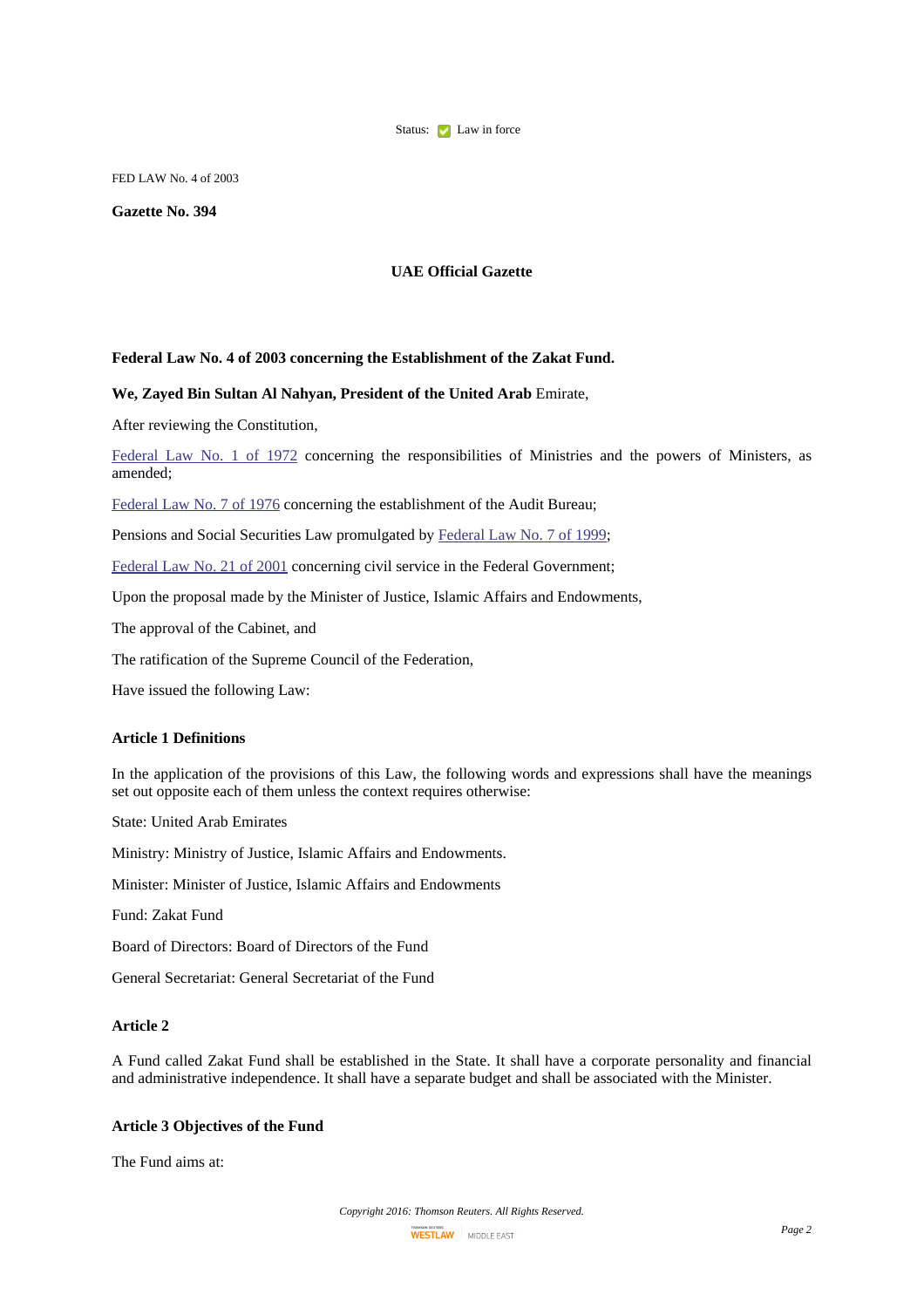

FED LAW No. 4 of 2003

### **Gazette No. 394**

# **UAE Official Gazette**

#### **Federal Law No. 4 of 2003 concerning the Establishment of the Zakat Fund.**

#### **We, Zayed Bin Sultan Al Nahyan, President of the United Arab** Emirate,

After reviewing the Constitution,

[Federal](http://login-middleeast.westlaw.com/maf/app/document?docguid=I325D80E6E6FD401CB1C61AC54D1AE964&startChunk=1&endChunk=2) Law No. 1 of 1972 concerning the responsibilities of Ministries and the powers of Ministers, as amended;

[Federal](http://login-middleeast.westlaw.com/maf/app/document?docguid=I8B93DA2C5D7945C8915F86DD91001087&startChunk=1&endChunk=2) Law No. 7 of 1976 concerning the establishment of the Audit Bureau;

Pensions and Social Securities Law promulgated by [Federal](http://login-middleeast.westlaw.com/maf/app/document?docguid=IB5F5CE6DB0904700BE74D68EFA5D7971&startChunk=1&endChunk=2) Law No. 7 of 1999;

[Federal](http://login-middleeast.westlaw.com/maf/app/document?docguid=I93359D7DD78E4D61B8D1B88B81573F9A&startChunk=1&endChunk=2) Law No. 21 of 2001 concerning civil service in the Federal Government;

Upon the proposal made by the Minister of Justice, Islamic Affairs and Endowments,

The approval of the Cabinet, and

The ratification of the Supreme Council of the Federation,

Have issued the following Law:

# **Article 1 Definitions**

In the application of the provisions of this Law, the following words and expressions shall have the meanings set out opposite each of them unless the context requires otherwise:

State: United Arab Emirates

Ministry: Ministry of Justice, Islamic Affairs and Endowments.

Minister: Minister of Justice, Islamic Affairs and Endowments

Fund: Zakat Fund

Board of Directors: Board of Directors of the Fund

General Secretariat: General Secretariat of the Fund

# **Article 2**

A Fund called Zakat Fund shall be established in the State. It shall have a corporate personality and financial and administrative independence. It shall have a separate budget and shall be associated with the Minister.

#### **Article 3 Objectives of the Fund**

The Fund aims at: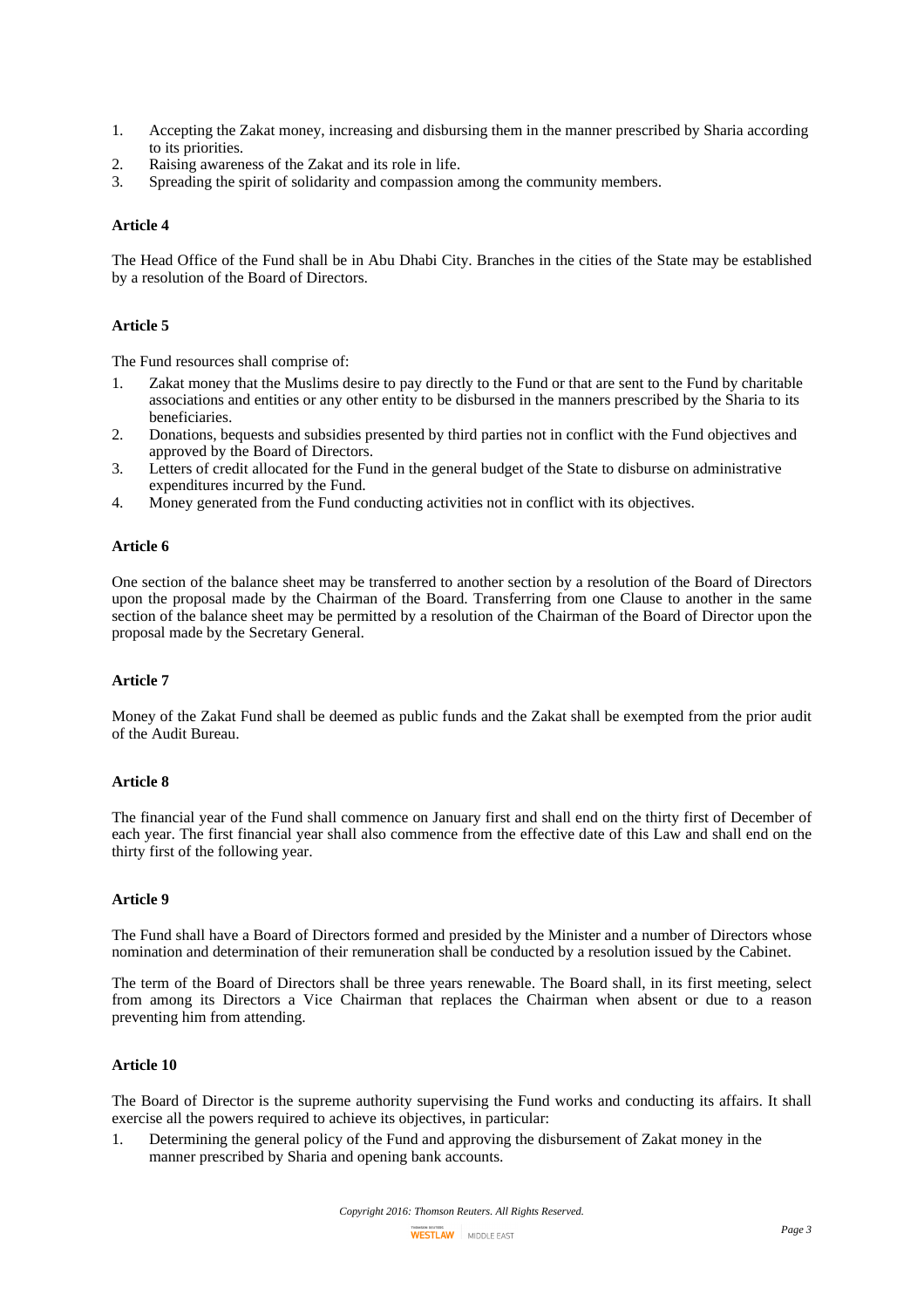- 1. Accepting the Zakat money, increasing and disbursing them in the manner prescribed by Sharia according to its priorities.
- 2. Raising awareness of the Zakat and its role in life.
- 3. Spreading the spirit of solidarity and compassion among the community members.

#### **Article 4**

The Head Office of the Fund shall be in Abu Dhabi City. Branches in the cities of the State may be established by a resolution of the Board of Directors.

### **Article 5**

The Fund resources shall comprise of:

- 1. Zakat money that the Muslims desire to pay directly to the Fund or that are sent to the Fund by charitable associations and entities or any other entity to be disbursed in the manners prescribed by the Sharia to its beneficiaries.
- 2. Donations, bequests and subsidies presented by third parties not in conflict with the Fund objectives and approved by the Board of Directors.
- 3. Letters of credit allocated for the Fund in the general budget of the State to disburse on administrative expenditures incurred by the Fund.
- 4. Money generated from the Fund conducting activities not in conflict with its objectives.

## **Article 6**

One section of the balance sheet may be transferred to another section by a resolution of the Board of Directors upon the proposal made by the Chairman of the Board. Transferring from one Clause to another in the same section of the balance sheet may be permitted by a resolution of the Chairman of the Board of Director upon the proposal made by the Secretary General.

## **Article 7**

Money of the Zakat Fund shall be deemed as public funds and the Zakat shall be exempted from the prior audit of the Audit Bureau.

#### **Article 8**

The financial year of the Fund shall commence on January first and shall end on the thirty first of December of each year. The first financial year shall also commence from the effective date of this Law and shall end on the thirty first of the following year.

#### **Article 9**

The Fund shall have a Board of Directors formed and presided by the Minister and a number of Directors whose nomination and determination of their remuneration shall be conducted by a resolution issued by the Cabinet.

The term of the Board of Directors shall be three years renewable. The Board shall, in its first meeting, select from among its Directors a Vice Chairman that replaces the Chairman when absent or due to a reason preventing him from attending.

#### **Article 10**

The Board of Director is the supreme authority supervising the Fund works and conducting its affairs. It shall exercise all the powers required to achieve its objectives, in particular:

1. Determining the general policy of the Fund and approving the disbursement of Zakat money in the manner prescribed by Sharia and opening bank accounts.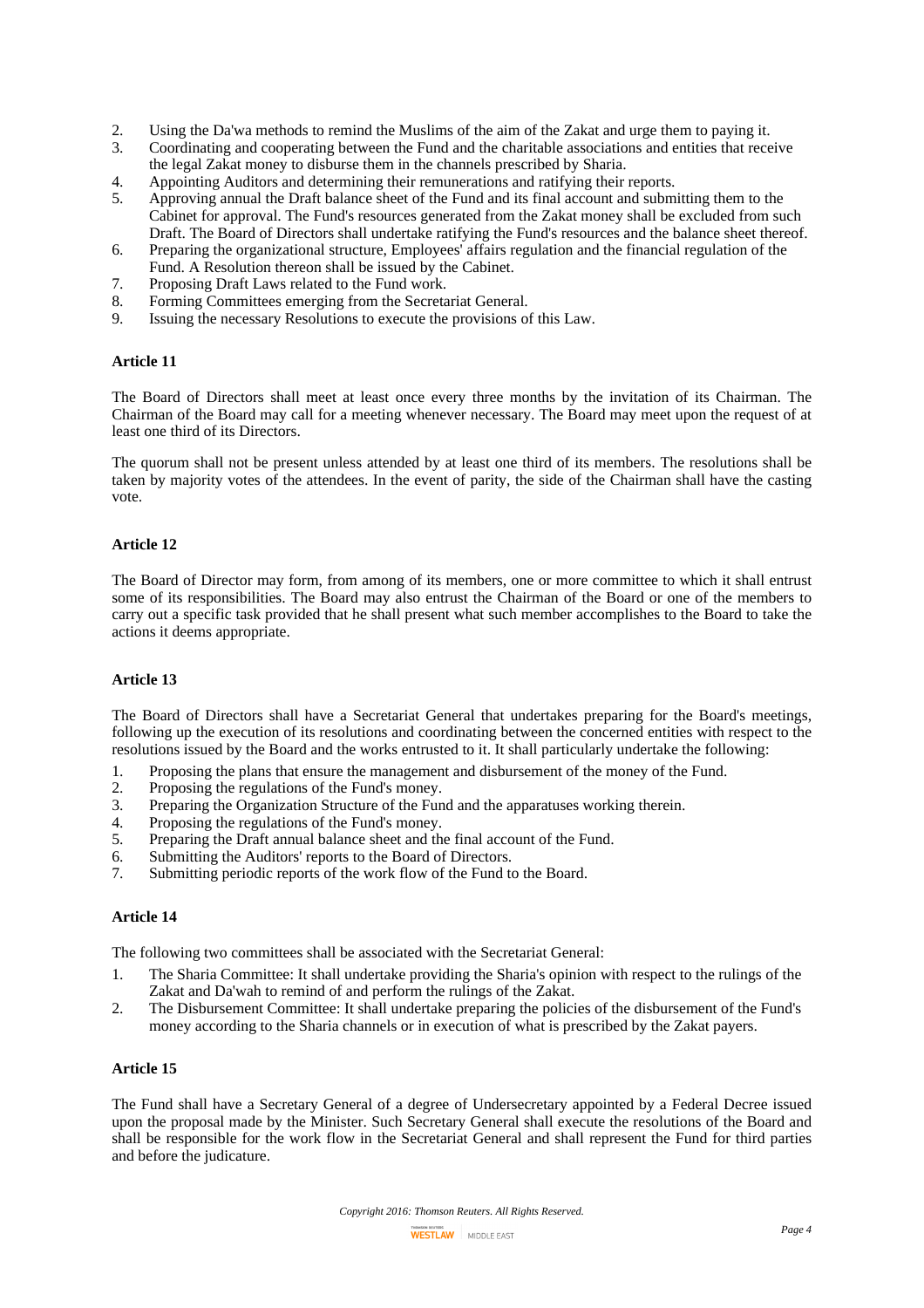- 2. Using the Da'wa methods to remind the Muslims of the aim of the Zakat and urge them to paying it.
- 3. Coordinating and cooperating between the Fund and the charitable associations and entities that receive the legal Zakat money to disburse them in the channels prescribed by Sharia.
- 4. Appointing Auditors and determining their remunerations and ratifying their reports.
- 5. Approving annual the Draft balance sheet of the Fund and its final account and submitting them to the Cabinet for approval. The Fund's resources generated from the Zakat money shall be excluded from such Draft. The Board of Directors shall undertake ratifying the Fund's resources and the balance sheet thereof.
- 6. Preparing the organizational structure, Employees' affairs regulation and the financial regulation of the Fund. A Resolution thereon shall be issued by the Cabinet.
- 7. Proposing Draft Laws related to the Fund work.
- 8. Forming Committees emerging from the Secretariat General.<br>9. Issuing the necessary Resolutions to execute the provisions of
- 9. Issuing the necessary Resolutions to execute the provisions of this Law.

## **Article 11**

The Board of Directors shall meet at least once every three months by the invitation of its Chairman. The Chairman of the Board may call for a meeting whenever necessary. The Board may meet upon the request of at least one third of its Directors.

The quorum shall not be present unless attended by at least one third of its members. The resolutions shall be taken by majority votes of the attendees. In the event of parity, the side of the Chairman shall have the casting vote.

## **Article 12**

The Board of Director may form, from among of its members, one or more committee to which it shall entrust some of its responsibilities. The Board may also entrust the Chairman of the Board or one of the members to carry out a specific task provided that he shall present what such member accomplishes to the Board to take the actions it deems appropriate.

#### **Article 13**

The Board of Directors shall have a Secretariat General that undertakes preparing for the Board's meetings, following up the execution of its resolutions and coordinating between the concerned entities with respect to the resolutions issued by the Board and the works entrusted to it. It shall particularly undertake the following:

- 1. Proposing the plans that ensure the management and disbursement of the money of the Fund.
- 2. Proposing the regulations of the Fund's money.
- 3. Preparing the Organization Structure of the Fund and the apparatuses working therein.
- 4. Proposing the regulations of the Fund's money.<br>5. Preparing the Draft annual balance sheet and the
- 5. Preparing the Draft annual balance sheet and the final account of the Fund.
- 6. Submitting the Auditors' reports to the Board of Directors.
- 7. Submitting periodic reports of the work flow of the Fund to the Board.

# **Article 14**

The following two committees shall be associated with the Secretariat General:

- 1. The Sharia Committee: It shall undertake providing the Sharia's opinion with respect to the rulings of the Zakat and Da'wah to remind of and perform the rulings of the Zakat.
- 2. The Disbursement Committee: It shall undertake preparing the policies of the disbursement of the Fund's money according to the Sharia channels or in execution of what is prescribed by the Zakat payers.

### **Article 15**

The Fund shall have a Secretary General of a degree of Undersecretary appointed by a Federal Decree issued upon the proposal made by the Minister. Such Secretary General shall execute the resolutions of the Board and shall be responsible for the work flow in the Secretariat General and shall represent the Fund for third parties and before the judicature.